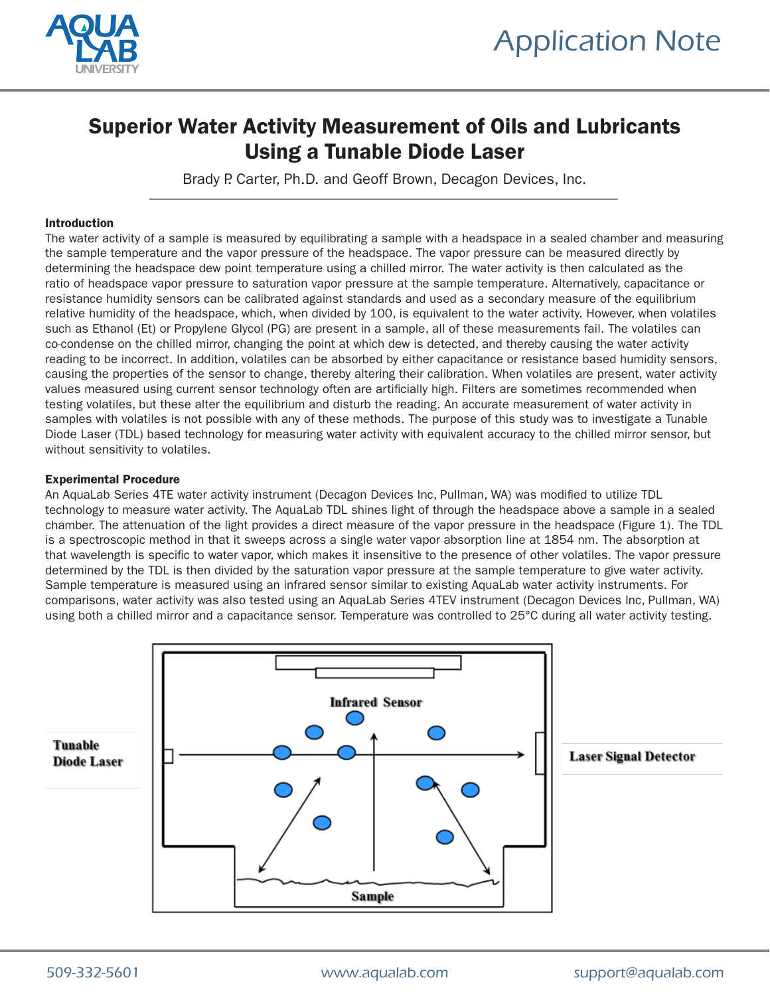

# Superior Water Activity Measurement of Oils and Lubricants Using a Tunable Diode Laser

Brady P. Carter, Ph.D. and Geoff Brown, Decagon Devices, Inc.

### Introduction

The water activity of a sample is measured by equilibrating a sample with a headspace in a sealed chamber and measuring the sample temperature and the vapor pressure of the headspace. The vapor pressure can be measured directly by determining the headspace dew point temperature using a chilled mirror. The water activity is then calculated as the ratio of headspace vapor pressure to saturation vapor pressure at the sample temperature. Alternatively, capacitance or resistance humidity sensors can be calibrated against standards and used as a secondary measure of the equilibrium relative humidity of the headspace, which, when divided by 100, is equivalent to the water activity. However, when volatiles such as Ethanol (Et) or Propylene Glycol (PG) are present in a sample, all of these measurements fail. The volatiles can co-condense on the chilled mirror, changing the point at which dew is detected, and thereby causing the water activity reading to be incorrect. In addition, volatiles can be absorbed by either capacitance or resistance based humidity sensors, causing the properties of the sensor to change, thereby altering their calibration. When volatiles are present, water activity values measured using current sensor technology often are artificially high. Filters are sometimes recommended when testing volatiles, but these alter the equilibrium and disturb the reading. An accurate measurement of water activity in samples with volatiles is not possible with any of these methods. The purpose of this study was to investigate a Tunable Diode Laser (TDL) based technology for measuring water activity with equivalent accuracy to the chilled mirror sensor, but without sensitivity to volatiles.

### Experimental Procedure

An AquaLab Series 4TE water activity instrument (Decagon Devices Inc, Pullman, WA) was modified to utilize TDL technology to measure water activity. The AquaLab TDL shines light of through the headspace above a sample in a sealed chamber. The attenuation of the light provides a direct measure of the vapor pressure in the headspace (Figure 1). The TDL is a spectroscopic method in that it sweeps across a single water vapor absorption line at 1854 nm. The absorption at that wavelength is specific to water vapor, which makes it insensitive to the presence of other volatiles. The vapor pressure determined by the TDL is then divided by the saturation vapor pressure at the sample temperature to give water activity. Sample temperature is measured using an infrared sensor similar to existing AquaLab water activity instruments. For comparisons, water activity was also tested using an AquaLab Series 4TEV instrument (Decagon Devices Inc, Pullman, WA) using both a chilled mirror and a capacitance sensor. Temperature was controlled to 25°C during all water activity testing.

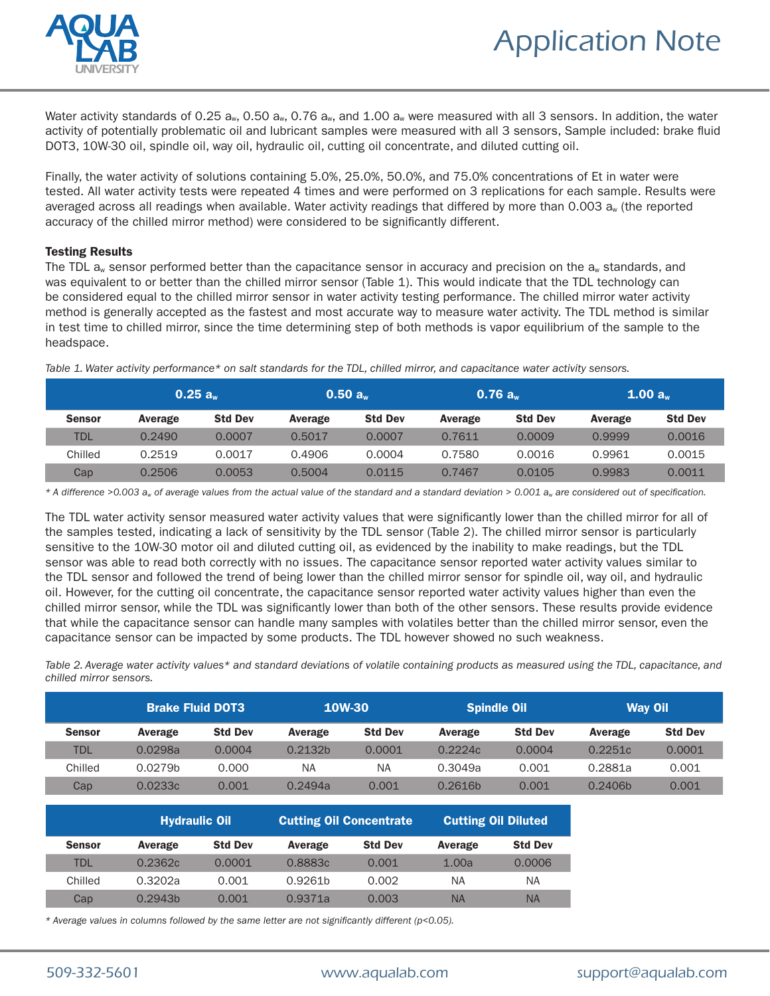



Water activity standards of 0.25  $a_w$ , 0.50  $a_w$ , 0.76  $a_w$ , and 1.00  $a_w$  were measured with all 3 sensors. In addition, the water activity of potentially problematic oil and lubricant samples were measured with all 3 sensors, Sample included: brake fluid DOT3, 10W-30 oil, spindle oil, way oil, hydraulic oil, cutting oil concentrate, and diluted cutting oil.

Finally, the water activity of solutions containing 5.0%, 25.0%, 50.0%, and 75.0% concentrations of Et in water were tested. All water activity tests were repeated 4 times and were performed on 3 replications for each sample. Results were averaged across all readings when available. Water activity readings that differed by more than  $0.003$  a<sub>w</sub> (the reported accuracy of the chilled mirror method) were considered to be significantly different.

## Testing Results

The TDL  $a_w$  sensor performed better than the capacitance sensor in accuracy and precision on the  $a_w$  standards, and was equivalent to or better than the chilled mirror sensor (Table 1). This would indicate that the TDL technology can be considered equal to the chilled mirror sensor in water activity testing performance. The chilled mirror water activity method is generally accepted as the fastest and most accurate way to measure water activity. The TDL method is similar in test time to chilled mirror, since the time determining step of both methods is vapor equilibrium of the sample to the headspace.

|               | 0.25 a  |                | 0.50 a  |                | 0.76 a  |                | 1.00 a  |                |
|---------------|---------|----------------|---------|----------------|---------|----------------|---------|----------------|
| <b>Sensor</b> | Average | <b>Std Dev</b> | Average | <b>Std Dev</b> | Average | <b>Std Dev</b> | Average | <b>Std Dev</b> |
| <b>TDL</b>    | 0.2490  | 0.0007         | 0.5017  | 0.0007         | 0.7611  | 0.0009         | 0.9999  | 0.0016         |
| Chilled       | 0.2519  | 0.0017         | 0.4906  | 0.0004         | 0.7580  | 0.0016         | 0.9961  | 0.0015         |
| Cap           | 0.2506  | 0.0053         | 0.5004  | 0.0115         | 0.7467  | 0.0105         | 0.9983  | 0.0011         |

*Table 1. Water activity performance\* on salt standards for the TDL, chilled mirror, and capacitance water activity sensors.*

*\* A difference >0.003 aw of average values from the actual value of the standard and a standard deviation > 0.001 aw are considered out of specification.* 

The TDL water activity sensor measured water activity values that were significantly lower than the chilled mirror for all of the samples tested, indicating a lack of sensitivity by the TDL sensor (Table 2). The chilled mirror sensor is particularly sensitive to the 10W-30 motor oil and diluted cutting oil, as evidenced by the inability to make readings, but the TDL sensor was able to read both correctly with no issues. The capacitance sensor reported water activity values similar to the TDL sensor and followed the trend of being lower than the chilled mirror sensor for spindle oil, way oil, and hydraulic oil. However, for the cutting oil concentrate, the capacitance sensor reported water activity values higher than even the chilled mirror sensor, while the TDL was significantly lower than both of the other sensors. These results provide evidence that while the capacitance sensor can handle many samples with volatiles better than the chilled mirror sensor, even the capacitance sensor can be impacted by some products. The TDL however showed no such weakness.

*Table 2. Average water activity values\* and standard deviations of volatile containing products as measured using the TDL, capacitance, and chilled mirror sensors.*

|               | <b>Brake Fluid DOT3</b> |                | <b>10W-30</b>       |                | <b>Spindle Oil</b> |                | <b>Way Oil</b> |                |
|---------------|-------------------------|----------------|---------------------|----------------|--------------------|----------------|----------------|----------------|
| <b>Sensor</b> | Average                 | <b>Std Dev</b> | Average             | <b>Std Dev</b> | Average            | <b>Std Dev</b> | Average        | <b>Std Dev</b> |
| <b>TDL</b>    | 0.0298a                 | 0.0004         | 0.2132 <sub>b</sub> | 0.0001         | 0.2224c            | 0.0004         | 0.2251c        | 0.0001         |
| Chilled       | 0.0279 <sub>b</sub>     | 0.000          | <b>NA</b>           | <b>NA</b>      | 0.3049a            | 0.001          | 0.2881a        | 0.001          |
| Cap           | 0.0233c                 | 0.001          | 0.2494a             | 0.001          | 0.2616h            | 0.001          | 0.2406b        | 0.001          |

|               |         | <b>Hydraulic Oil</b> |                     | <b>Cutting Oil Concentrate</b> | <b>Cutting Oil Diluted</b> |                |  |
|---------------|---------|----------------------|---------------------|--------------------------------|----------------------------|----------------|--|
| <b>Sensor</b> | Average | <b>Std Dev</b>       | Average             | <b>Std Dev</b>                 | Average                    | <b>Std Dev</b> |  |
| <b>TDL</b>    | 0.2362c | 0.0001               | 0.8883c             | 0.001                          | 1.00a                      | 0.0006         |  |
| Chilled       | 0.3202a | 0.001                | 0.9261 <sub>b</sub> | 0.002                          | ΝA                         | ΝA             |  |
| Cap           | 0.2943h | 0.001                | 0.9371a             | 0.003                          | <b>NA</b>                  | <b>NA</b>      |  |

*\* Average values in columns followed by the same letter are not significantly different (p<0.05).*